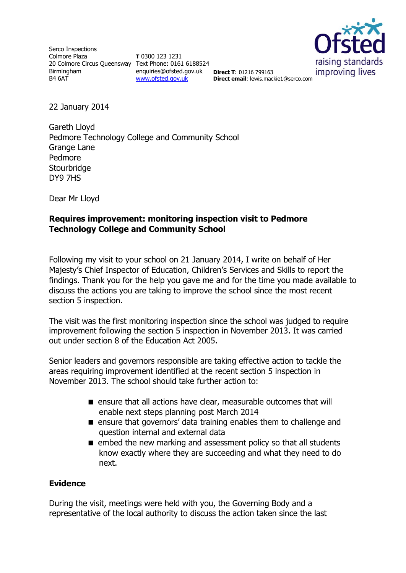Serco Inspections Colmore Plaza 20 Colmore Circus Queensway Text Phone: 0161 6188524 Birmingham B4 6AT

**T** 0300 123 1231 enquiries@ofsted.gov.uk **Direct T**: 01216 799163 [www.ofsted.gov.uk](http://www.ofsted.gov.uk/)



**Direct email**: lewis.mackie1@serco.com

22 January 2014

Gareth Lloyd Pedmore Technology College and Community School Grange Lane Pedmore **Stourbridge** DY9 7HS

Dear Mr Lloyd

## **Requires improvement: monitoring inspection visit to Pedmore Technology College and Community School**

Following my visit to your school on 21 January 2014, I write on behalf of Her Majesty's Chief Inspector of Education, Children's Services and Skills to report the findings. Thank you for the help you gave me and for the time you made available to discuss the actions you are taking to improve the school since the most recent section 5 inspection.

The visit was the first monitoring inspection since the school was judged to require improvement following the section 5 inspection in November 2013. It was carried out under section 8 of the Education Act 2005.

Senior leaders and governors responsible are taking effective action to tackle the areas requiring improvement identified at the recent section 5 inspection in November 2013. The school should take further action to:

- ensure that all actions have clear, measurable outcomes that will enable next steps planning post March 2014
- ensure that governors' data training enables them to challenge and question internal and external data
- **E** embed the new marking and assessment policy so that all students know exactly where they are succeeding and what they need to do next.

### **Evidence**

During the visit, meetings were held with you, the Governing Body and a representative of the local authority to discuss the action taken since the last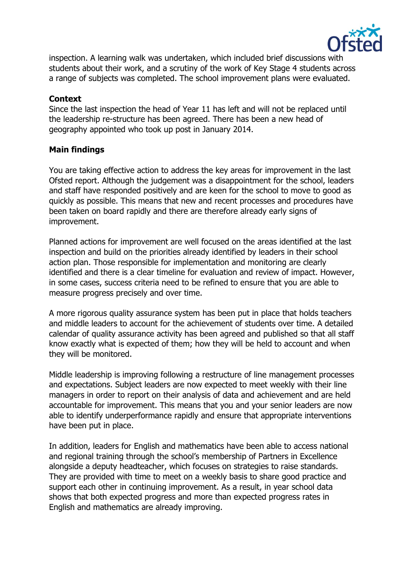

inspection. A learning walk was undertaken, which included brief discussions with students about their work, and a scrutiny of the work of Key Stage 4 students across a range of subjects was completed. The school improvement plans were evaluated.

### **Context**

Since the last inspection the head of Year 11 has left and will not be replaced until the leadership re-structure has been agreed. There has been a new head of geography appointed who took up post in January 2014.

# **Main findings**

You are taking effective action to address the key areas for improvement in the last Ofsted report. Although the judgement was a disappointment for the school, leaders and staff have responded positively and are keen for the school to move to good as quickly as possible. This means that new and recent processes and procedures have been taken on board rapidly and there are therefore already early signs of improvement.

Planned actions for improvement are well focused on the areas identified at the last inspection and build on the priorities already identified by leaders in their school action plan. Those responsible for implementation and monitoring are clearly identified and there is a clear timeline for evaluation and review of impact. However, in some cases, success criteria need to be refined to ensure that you are able to measure progress precisely and over time.

A more rigorous quality assurance system has been put in place that holds teachers and middle leaders to account for the achievement of students over time. A detailed calendar of quality assurance activity has been agreed and published so that all staff know exactly what is expected of them; how they will be held to account and when they will be monitored.

Middle leadership is improving following a restructure of line management processes and expectations. Subject leaders are now expected to meet weekly with their line managers in order to report on their analysis of data and achievement and are held accountable for improvement. This means that you and your senior leaders are now able to identify underperformance rapidly and ensure that appropriate interventions have been put in place.

In addition, leaders for English and mathematics have been able to access national and regional training through the school's membership of Partners in Excellence alongside a deputy headteacher, which focuses on strategies to raise standards. They are provided with time to meet on a weekly basis to share good practice and support each other in continuing improvement. As a result, in year school data shows that both expected progress and more than expected progress rates in English and mathematics are already improving.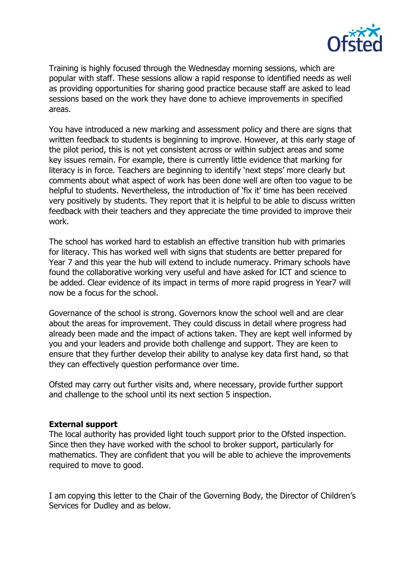

Training is highly focused through the Wednesday morning sessions, which are popular with staff. These sessions allow a rapid response to identified needs as well as providing opportunities for sharing good practice because staff are asked to lead sessions based on the work they have done to achieve improvements in specified areas.

You have introduced a new marking and assessment policy and there are signs that written feedback to students is beginning to improve. However, at this early stage of the pilot period, this is not yet consistent across or within subject areas and some key issues remain. For example, there is currently little evidence that marking for literacy is in force. Teachers are beginning to identify 'next steps' more clearly but comments about what aspect of work has been done well are often too vague to be helpful to students. Nevertheless, the introduction of 'fix it' time has been received very positively by students. They report that it is helpful to be able to discuss written feedback with their teachers and they appreciate the time provided to improve their work.

The school has worked hard to establish an effective transition hub with primaries for literacy. This has worked well with signs that students are better prepared for Year 7 and this year the hub will extend to include numeracy. Primary schools have found the collaborative working very useful and have asked for ICT and science to be added. Clear evidence of its impact in terms of more rapid progress in Year7 will now be a focus for the school.

Governance of the school is strong. Governors know the school well and are clear about the areas for improvement. They could discuss in detail where progress had already been made and the impact of actions taken. They are kept well informed by you and your leaders and provide both challenge and support. They are keen to ensure that they further develop their ability to analyse key data first hand, so that they can effectively question performance over time.

Ofsted may carry out further visits and, where necessary, provide further support and challenge to the school until its next section 5 inspection.

#### **External support**

The local authority has provided light touch support prior to the Ofsted inspection. Since then they have worked with the school to broker support, particularly for mathematics. They are confident that you will be able to achieve the improvements required to move to good.

I am copying this letter to the Chair of the Governing Body, the Director of Children's Services for Dudley and as below.